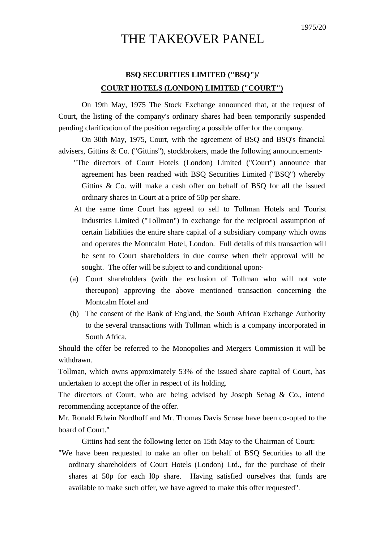## THE TAKEOVER PANEL

## **BSQ SECURITIES LIMITED ("BSQ")/ COURT HOTELS (LONDON) LIMITED ("COURT")**

On 19th May, 1975 The Stock Exchange announced that, at the request of Court, the listing of the company's ordinary shares had been temporarily suspended pending clarification of the position regarding a possible offer for the company.

On 30th May, 1975, Court, with the agreement of BSQ and BSQ's financial advisers, Gittins & Co. ("Gittins"), stockbrokers, made the following announcement:-

- "The directors of Court Hotels (London) Limited ("Court") announce that agreement has been reached with BSQ Securities Limited ("BSQ") whereby Gittins & Co. will make a cash offer on behalf of BSQ for all the issued ordinary shares in Court at a price of 50p per share.
- At the same time Court has agreed to sell to Tollman Hotels and Tourist Industries Limited ("Tollman") in exchange for the reciprocal assumption of certain liabilities the entire share capital of a subsidiary company which owns and operates the Montcalm Hotel, London. Full details of this transaction will be sent to Court shareholders in due course when their approval will be sought. The offer will be subject to and conditional upon:-
- (a) Court shareholders (with the exclusion of Tollman who will not vote thereupon) approving the above mentioned transaction concerning the Montcalm Hotel and
- (b) The consent of the Bank of England, the South African Exchange Authority to the several transactions with Tollman which is a company incorporated in South Africa.

Should the offer be referred to the Monopolies and Mergers Commission it will be withdrawn.

Tollman, which owns approximately 53% of the issued share capital of Court, has undertaken to accept the offer in respect of its holding.

The directors of Court, who are being advised by Joseph Sebag & Co., intend recommending acceptance of the offer.

Mr. Ronald Edwin Nordhoff and Mr. Thomas Davis Scrase have been co-opted to the board of Court."

Gittins had sent the following letter on 15th May to the Chairman of Court:

"We have been requested to make an offer on behalf of BSQ Securities to all the ordinary shareholders of Court Hotels (London) Ltd., for the purchase of their shares at 50p for each l0p share. Having satisfied ourselves that funds are available to make such offer, we have agreed to make this offer requested".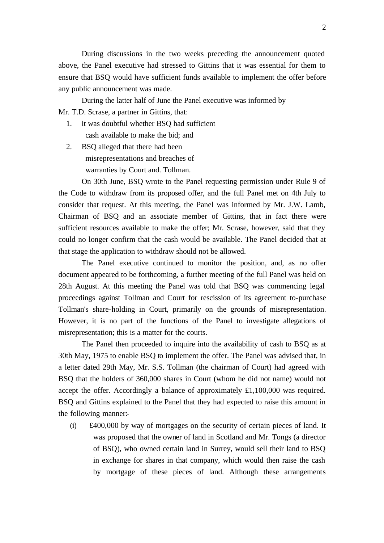During discussions in the two weeks preceding the announcement quoted above, the Panel executive had stressed to Gittins that it was essential for them to ensure that BSQ would have sufficient funds available to implement the offer before any public announcement was made.

During the latter half of June the Panel executive was informed by Mr. T.D. Scrase, a partner in Gittins, that:

- 1. it was doubtful whether BSQ had sufficient cash available to make the bid; and
- 2. BSQ alleged that there had been misrepresentations and breaches of warranties by Court and. Tollman.

On 30th June, BSQ wrote to the Panel requesting permission under Rule 9 of the Code to withdraw from its proposed offer, and the full Panel met on 4th July to consider that request. At this meeting, the Panel was informed by Mr. J.W. Lamb, Chairman of BSQ and an associate member of Gittins, that in fact there were sufficient resources available to make the offer; Mr. Scrase, however, said that they could no longer confirm that the cash would be available. The Panel decided that at that stage the application to withdraw should not be allowed.

The Panel executive continued to monitor the position, and, as no offer document appeared to be forthcoming, a further meeting of the full Panel was held on 28th August. At this meeting the Panel was told that BSQ was commencing legal proceedings against Tollman and Court for rescission of its agreement to-purchase Tollman's share-holding in Court, primarily on the grounds of misrepresentation. However, it is no part of the functions of the Panel to investigate allegations of misrepresentation; this is a matter for the courts.

The Panel then proceeded to inquire into the availability of cash to BSQ as at 30th May, 1975 to enable BSQ to implement the offer. The Panel was advised that, in a letter dated 29th May, Mr. S.S. Tollman (the chairman of Court) had agreed with BSQ that the holders of 360,000 shares in Court (whom he did not name) would not accept the offer. Accordingly a balance of approximately £1,100,000 was required. BSQ and Gittins explained to the Panel that they had expected to raise this amount in the following manner:-

(i) £400,000 by way of mortgages on the security of certain pieces of land. It was proposed that the owner of land in Scotland and Mr. Tongs (a director of BSQ), who owned certain land in Surrey, would sell their land to BSQ in exchange for shares in that company, which would then raise the cash by mortgage of these pieces of land. Although these arrangements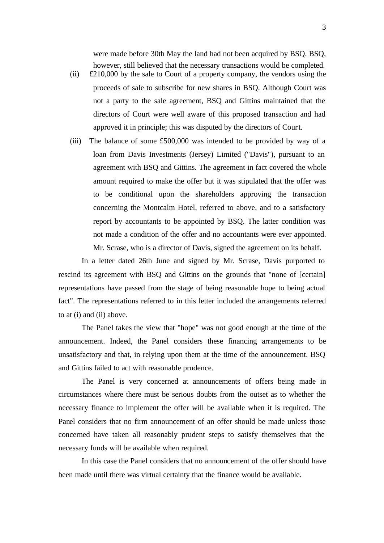were made before 30th May the land had not been acquired by BSQ. BSQ, however, still believed that the necessary transactions would be completed.

- (ii) £210,000 by the sale to Court of a property company, the vendors using the proceeds of sale to subscribe for new shares in BSQ. Although Court was not a party to the sale agreement, BSQ and Gittins maintained that the directors of Court were well aware of this proposed transaction and had approved it in principle; this was disputed by the directors of Court.
- (iii) The balance of some £500,000 was intended to be provided by way of a loan from Davis Investments (Jersey) Limited ("Davis"), pursuant to an agreement with BSQ and Gittins. The agreement in fact covered the whole amount required to make the offer but it was stipulated that the offer was to be conditional upon the shareholders approving the transaction concerning the Montcalm Hotel, referred to above, and to a satisfactory report by accountants to be appointed by BSQ. The latter condition was not made a condition of the offer and no accountants were ever appointed. Mr. Scrase, who is a director of Davis, signed the agreement on its behalf.

In a letter dated 26th June and signed by Mr. Scrase, Davis purported to rescind its agreement with BSQ and Gittins on the grounds that "none of [certain] representations have passed from the stage of being reasonable hope to being actual fact". The representations referred to in this letter included the arrangements referred to at (i) and (ii) above.

The Panel takes the view that "hope" was not good enough at the time of the announcement. Indeed, the Panel considers these financing arrangements to be unsatisfactory and that, in relying upon them at the time of the announcement. BSQ and Gittins failed to act with reasonable prudence.

The Panel is very concerned at announcements of offers being made in circumstances where there must be serious doubts from the outset as to whether the necessary finance to implement the offer will be available when it is required. The Panel considers that no firm announcement of an offer should be made unless those concerned have taken all reasonably prudent steps to satisfy themselves that the necessary funds will be available when required.

In this case the Panel considers that no announcement of the offer should have been made until there was virtual certainty that the finance would be available.